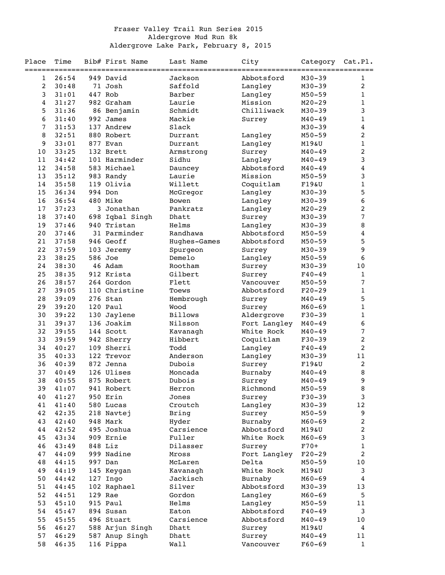## Fraser Valley Trail Run Series 2015 Aldergrove Mud Run 8k Aldergrove Lake Park, February 8, 2015

| Place          | Time           |     | Bib# First Name        | Last Name                 | City         | Category Cat.Pl.         |                |
|----------------|----------------|-----|------------------------|---------------------------|--------------|--------------------------|----------------|
| =========<br>1 | 26:54          |     | 949 David              | ==============<br>Jackson | Abbotsford   | $M30 - 39$               | 1              |
| $\overline{c}$ | 30:48          |     | 71 Josh                | Saffold                   | Langley      | $M30 - 39$               | 2              |
| 3              | 31:01          |     | 447 Rob                | Barber                    | Langley      | $M50 - 59$               | 1              |
| $\overline{4}$ | 31:27          |     | 982 Graham             | Laurie                    | Mission      | $M20 - 29$               | 1              |
| 5              | 31:36          |     | 86 Benjamin            | Schmidt                   | Chilliwack   | $M30 - 39$               | 3              |
|                |                |     |                        |                           |              |                          |                |
| 6              | 31:40          |     | 992 James              | Mackie                    | Surrey       | $M40 - 49$               | 1              |
| 7              | 31:53          |     | 137 Andrew             | Slack                     |              | M30-39                   | 4              |
| 8              | 32:51          |     | 880 Robert             | Durrant                   | Langley      | $M50 - 59$               | 2              |
| 9              | 33:01          |     | 877 Evan               | Durrant                   | Langley      | M19&U                    | 1              |
| 10             | 33:25          |     | 132 Brett              | Armstrong                 | Surrey       | $M40 - 49$               | 2              |
| 11             | 34:42          |     | 101 Harminder          | Sidhu                     | Langley      | $M40 - 49$               | 3              |
| 12             | 34:58          |     | 583 Michael            | Dauncey                   | Abbotsford   | $M40 - 49$               | 4              |
| 13             | 35:12          |     | 983 Randy              | Laurie                    | Mission      | $M50 - 59$               | 3              |
| 14             | 35:58          |     | 119 Olivia             | Willett                   | Coquitlam    | F19&U                    | 1              |
| 15             | 36:34          |     | 994 Don                | McGregor                  | Langley      | M30-39                   | 5              |
| 16             | 36:54          |     | 480 Mike               | Bowen                     | Langley      | $M30 - 39$               | 6              |
| 17             | 37:23          |     | 3 Jonathan             | Pankratz                  | Langley      | $M20 - 29$               | 2              |
| 18             | 37:40          | 698 | Iqbal Singh            | Dhatt                     | Surrey       | $M30 - 39$               | 7              |
| 19             | 37:46          |     | 940 Tristan            | Helms                     | Langley      | M30-39                   | 8              |
| 20             | 37:46          |     | 31 Parminder           | Randhawa                  | Abbotsford   | $M50 - 59$               | 4              |
| 21             | 37:58          |     | 946 Geoff              | Hughes-Games              | Abbotsford   | $M50 - 59$               | 5              |
| 22             | 37:59          |     | 103 Jeremy             | Spurgeon                  | Surrey       | $M30 - 39$               | 9              |
| 23             | 38:25          |     | 586 Joe                | Demelo                    | Langley      | $M50 - 59$               | 6              |
| 24             | 38:30          |     | 46 Adam                | Rootham                   | Surrey       | $M30 - 39$               | 10             |
| 25             | 38:35          |     | 912 Krista             | Gilbert                   | Surrey       | $F40 - 49$               | 1              |
| 26             | 38:57          |     | 264 Gordon             | Flett                     | Vancouver    | $M50 - 59$               | 7              |
| 27             | 39:05          |     | 110 Christine          | Toews                     | Abbotsford   | $F20-29$                 | 1              |
| 28             | 39:09          |     | 276 Stan               | Hembrough                 | Surrey       | $M40 - 49$               | 5              |
| 29             | 39:20          |     | 120 Paul               | Wood                      | Surrey       | $M60 - 69$               | 1              |
| 30             | 39:22          | 130 | Jaylene                | <b>Billows</b>            | Aldergrove   | $F30-39$                 | 1              |
| 31             | 39:37          |     | 136 Joakim             | Nilsson                   | Fort Langley | $M40 - 49$               | 6              |
| 32             | 39:55          |     | 144 Scott              | Kavanagh                  | White Rock   | $M40 - 49$               | 7              |
| 33             | 39:59          |     | 942 Sherry             | Hibbert                   | Coquitlam    | $F30-39$                 | 2              |
| 34             | 40:27          |     | 109 Sherri             | Todd                      | Langley      | $F40 - 49$               | 2              |
| 35             | 40:33          |     | 122 Trevor             | Anderson                  | Langley      | $M30 - 39$               | 11             |
| 36             | 40:39          |     | 872 Jenna              | Dubois                    | Surrey       | F19&U                    | 2              |
| 37             | 40:49          |     | 126 Ulises             | Moncada                   | Burnaby      | $M40 - 49$               | 8              |
| 38             | 40:55          |     | 875 Robert             | Dubois                    | Surrey       | $M40 - 49$               | 9              |
| 39             |                |     |                        |                           | Richmond     |                          |                |
| 40             | 41:07<br>41:27 |     | 941 Robert<br>950 Erin | Herron                    |              | $M50 - 59$<br>$F30 - 39$ | 8<br>3         |
|                |                |     |                        | Jones                     | Surrey       |                          |                |
| 41             | 41:40          |     | 580 Lucas              | Croutch                   | Langley      | $M30 - 39$               | 12             |
| 42             | 42:35          |     | 218 Navtej             | Bring                     | Surrey       | $M50 - 59$               | 9              |
| 43             | 42:40          |     | 948 Mark               | Hyder                     | Burnaby      | $M60 - 69$               | $\overline{c}$ |
| 44             | 42:52          |     | 495 Joshua             | Carsience                 | Abbotsford   | M19&U                    | $\overline{c}$ |
| 45             | 43:34          |     | 909 Ernie              | Fuller                    | White Rock   | $M60 - 69$               | 3              |
| 46             | 43:49          |     | 848 Liz                | Dilasser                  | Surrey       | $F70+$                   | $\mathbf{1}$   |
| 47             | 44:09          |     | 999 Nadine             | Mross                     | Fort Langley | $F20-29$                 | $\overline{c}$ |
| 48             | 44:15          |     | 997 Dan                | McLaren                   | Delta        | $M50 - 59$               | 10             |
| 49             | 44:19          |     | 145 Keygan             | Kavanagh                  | White Rock   | M19&U                    | 3              |
| 50             | 44:42          | 127 | Ingo                   | Jackisch                  | Burnaby      | $M60 - 69$               | 4              |
| 51             | 44:45          |     | 102 Raphael            | Silver                    | Abbotsford   | $M30 - 39$               | 13             |
| 52             | 44:51          |     | 129 Rae                | Gordon                    | Langley      | $M60 - 69$               | 5              |
| 53             | 45:10          |     | 915 Paul               | Helms                     | Langley      | $M50 - 59$               | 11             |
| 54             | 45:47          |     | 894 Susan              | Eaton                     | Abbotsford   | $F40 - 49$               | 3              |
| 55             | 45:55          |     | 496 Stuart             | Carsience                 | Abbotsford   | $M40 - 49$               | 10             |
| 56             | 46:27          |     | 588 Arjun Singh        | Dhatt                     | Surrey       | M19&U                    | 4              |
| 57             | 46:29          |     | 587 Anup Singh         | Dhatt                     | Surrey       | $M40 - 49$               | 11             |
| 58             | 46:35          |     | 116 Pippa              | Wall                      | Vancouver    | $F60 - 69$               | $\mathbf 1$    |
|                |                |     |                        |                           |              |                          |                |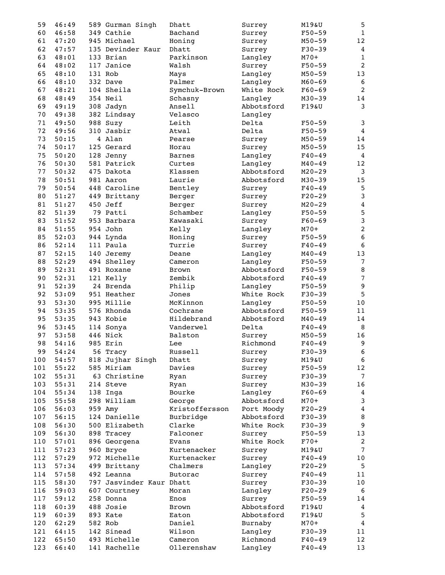| 59  | 46:49 |     | 589 Gurman Singh         | Dhatt          | Surrey     | M19&U      | 5                       |
|-----|-------|-----|--------------------------|----------------|------------|------------|-------------------------|
| 60  | 46:58 |     | 349 Cathie               | Bachand        | Surrey     | $F50 - 59$ | $1\,$                   |
| 61  | 47:20 |     | 945 Michael              | Honing         | Surrey     | $M50 - 59$ | $12$                    |
| 62  | 47:57 |     | 135 Devinder Kaur        | Dhatt          | Surrey     | $F30 - 39$ | $\overline{4}$          |
| 63  | 48:01 |     | 133 Brian                | Parkinson      | Langley    | $M70+$     | $\mathbf 1$             |
| 64  | 48:02 |     | 117 Janice               | Walsh          | Surrey     | $F50 - 59$ | $\overline{2}$          |
| 65  | 48:10 |     | 131 Rob                  | Mays           | Langley    | $M50 - 59$ | 13                      |
| 66  | 48:10 |     | 332 Dave                 | Palmer         | Langley    | $M60 - 69$ | 6                       |
| 67  | 48:21 |     | 104 Sheila               | Symchuk-Brown  | White Rock | $F60-69$   | $\overline{2}$          |
| 68  | 48:49 |     | 354 Neil                 |                |            |            | 14                      |
|     |       |     |                          | Schasny        | Langley    | $M30 - 39$ |                         |
| 69  | 49:19 |     | 308 Jadyn                | Ansell         | Abbotsford | F19&U      | $\mathbf{3}$            |
| 70  | 49:38 |     | 382 Lindsay              | Velasco        | Langley    |            |                         |
| 71  | 49:50 |     | 988 Suzy                 | Leith          | Delta      | $F50 - 59$ | 3                       |
| 72  | 49:56 |     | 310 Jasbir               | Atwal          | Delta      | $F50 - 59$ | $\overline{4}$          |
| 73  | 50:15 |     | 4 Alan                   | Pearse         | Surrey     | $M50 - 59$ | 14                      |
| 74  | 50:17 |     | 125 Gerard               | Horau          | Surrey     | $M50 - 59$ | 15                      |
| 75  | 50:20 |     | 128 Jenny                | <b>Barnes</b>  | Langley    | $F40 - 49$ | $\overline{4}$          |
| 76  | 50:30 |     | 581 Patrick              | Curtes         | Langley    | $M40 - 49$ | 12                      |
| 77  | 50:32 |     | 475 Dakota               | Klassen        | Abbotsford | $M20 - 29$ | $\mathsf{3}$            |
| 78  | 50:51 |     | 981 Aaron                | Laurie         | Abbotsford | $M30 - 39$ | 15                      |
| 79  | 50:54 |     | 448 Caroline             | Bentley        | Surrey     | $F40 - 49$ | 5                       |
| 80  | 51:27 |     | 449 Brittany             | Berger         | Surrey     | $F20-29$   | 3                       |
| 81  | 51:27 |     | 450 Jeff                 | Berger         | Surrey     | $M20 - 29$ | $\overline{\mathbf{4}}$ |
| 82  | 51:39 | 79  | Patti                    | Schamber       | Langley    | $F50 - 59$ | 5                       |
| 83  | 51:52 |     | 953 Barbara              | Kawasaki       | Surrey     | $F60 - 69$ | 3                       |
| 84  | 51:55 |     | 954 John                 | Kelly          | Langley    | $M70+$     | $\overline{c}$          |
| 85  | 52:03 |     | 944 Lynda                | Honing         | Surrey     | $F50 - 59$ | $\boldsymbol{6}$        |
| 86  | 52:14 |     | 111 Paula                | Turrie         |            | $F40 - 49$ | $\boldsymbol{6}$        |
|     |       |     |                          |                | Surrey     |            |                         |
| 87  | 52:15 |     | 140 Jeremy               | Deane          | Langley    | $M40 - 49$ | 13                      |
| 88  | 52:29 |     | 494 Shelley              | Cameron        | Langley    | $F50 - 59$ | $\sqrt{ }$              |
| 89  | 52:31 |     | 491 Roxane               | <b>Brown</b>   | Abbotsford | $F50 - 59$ | $\, 8$                  |
| 90  | 52:31 |     | 121 Kelly                | Zembik         | Abbotsford | $F40 - 49$ | $\sqrt{ }$              |
| 91  | 52:39 |     | 24 Brenda                | Philip         | Langley    | $F50 - 59$ | $\boldsymbol{9}$        |
| 92  | 53:09 |     | 951 Heather              | Jones          | White Rock | $F30-39$   | 5                       |
| 93  | 53:30 |     | 995 Millie               | McKinnon       | Langley    | $F50 - 59$ | $10$                    |
| 94  | 53:35 |     | 576 Rhonda               | Cochrane       | Abbotsford | $F50 - 59$ | 11                      |
| 95  | 53:35 |     | 943 Kobie                | Hildebrand     | Abbotsford | $M40 - 49$ | 14                      |
| 96  | 53:45 |     | 114 Sonya                | Vanderwel      | Delta      | $F40 - 49$ | $\, 8$                  |
| 97  | 53:58 |     | 446 Nick                 | Balston        | Surrey     | $M50 - 59$ | 16                      |
| 98  | 54:16 |     | 985 Erin                 | Lee            | Richmond   | $F40 - 49$ | 9                       |
| 99  | 54:24 |     | 56 Tracy                 | Russell        | Surrey     | $F30-39$   | 6                       |
| 100 | 54:57 | 818 | Jujhar Singh             | Dhatt          | Surrey     | M19&U      | $6\,$                   |
| 101 | 55:22 |     | 585 Miriam               | Davies         | Surrey     | $F50 - 59$ | 12                      |
| 102 | 55:31 |     | 63 Christine             | Ryan           | Surrey     | $F30-39$   | $\overline{7}$          |
| 103 | 55:31 |     | 214 Steve                | Ryan           | Surrey     | $M30 - 39$ | 16                      |
| 104 | 55:34 |     | 138 Inga                 | Bourke         | Langley    | $F60-69$   | 4                       |
| 105 | 55:58 |     | 298 William              | George         | Abbotsford | $M70+$     | 3                       |
| 106 | 56:03 |     | 959 Amy                  | Kristoffersson | Port Moody | $F20-29$   | $\overline{\mathbf{4}}$ |
| 107 | 56:15 |     | 124 Danielle             | Burbridge      | Abbotsford | $F30-39$   | $\, 8$                  |
|     |       |     | 500 Elizabeth            | Clarke         | White Rock |            | 9                       |
| 108 | 56:30 |     |                          |                |            | $F30-39$   |                         |
| 109 | 56:30 |     | 898 Tracey               | Falconer       | Surrey     | $F50 - 59$ | 13                      |
| 110 | 57:01 |     | 896 Georgena             | Evans          | White Rock | $F70+$     | 2                       |
| 111 | 57:23 |     | 960 Bryce                | Kurtenacker    | Surrey     | M19&U      | $\overline{7}$          |
| 112 | 57:29 |     | 972 Michelle             | Kurtenacker    | Surrey     | $F40 - 49$ | 10                      |
| 113 | 57:34 |     | 499 Brittany             | Chalmers       | Langley    | $F20-29$   | 5                       |
| 114 | 57:58 |     | 492 Leanna               | <b>Butorac</b> | Surrey     | $F40 - 49$ | 11                      |
| 115 | 58:30 |     | 797 Jasvinder Kaur Dhatt |                | Surrey     | $F30-39$   | 10                      |
| 116 | 59:03 |     | 607 Courtney             | Moran          | Langley    | $F20-29$   | 6                       |
| 117 | 59:12 |     | 258 Donna                | Enos           | Surrey     | $F50 - 59$ | 14                      |
| 118 | 60:39 |     | 488 Josie                | Brown          | Abbotsford | F19&U      | $\overline{4}$          |
| 119 | 60:39 |     | 893 Kate                 | Eaton          | Abbotsford | F19&U      | 5                       |
| 120 | 62:29 |     | 582 Rob                  | Daniel         | Burnaby    | $M70+$     | $\boldsymbol{4}$        |
| 121 | 64:15 |     | 142 Sinead               | Wilson         | Langley    | $F30-39$   | 11                      |
| 122 | 65:50 |     | 493 Michelle             | Cameron        | Richmond   | $F40 - 49$ | 12                      |
| 123 | 66:40 |     | 141 Rachelle             | Ollerenshaw    | Langley    | $F40 - 49$ | 13                      |
|     |       |     |                          |                |            |            |                         |